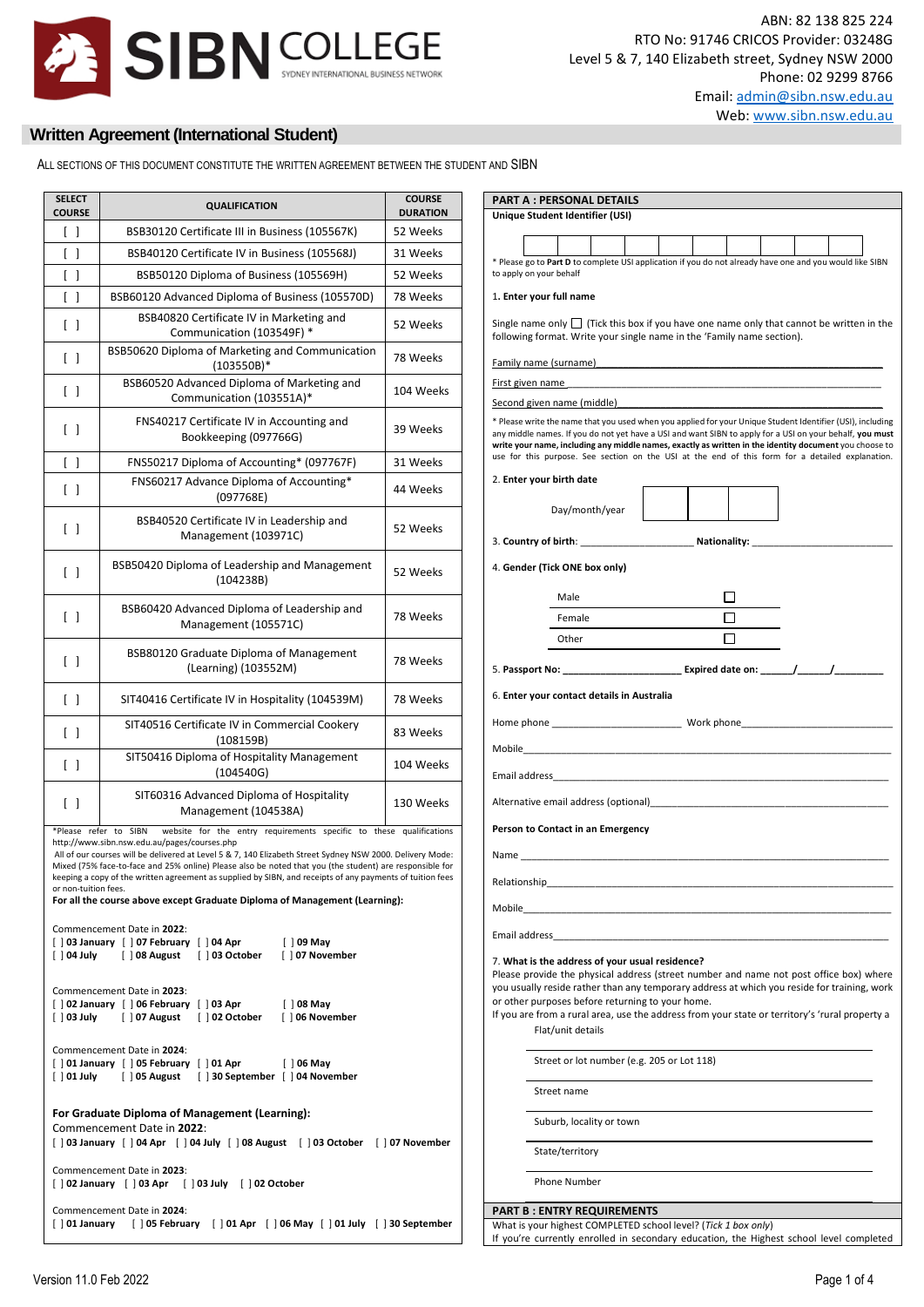

Web[: www.sibn.nsw.edu.au](http://www.sibn.nsw.edu.au/)

# **Written Agreement (International Student)**

ALL SECTIONS OF THIS DOCUMENT CONSTITUTE THE WRITTEN AGREEMENT BETWEEN THE STUDENT AND SIBN

| <b>SELECT</b><br><b>COURSE</b>    | <b>QUALIFICATION</b>                                                                                                                                                                                                                                                                                                                                                                                                                                                                                                                                                                                                                                                                                      | <b>COURSE</b><br><b>DURATION</b> |
|-----------------------------------|-----------------------------------------------------------------------------------------------------------------------------------------------------------------------------------------------------------------------------------------------------------------------------------------------------------------------------------------------------------------------------------------------------------------------------------------------------------------------------------------------------------------------------------------------------------------------------------------------------------------------------------------------------------------------------------------------------------|----------------------------------|
| $\Box$                            | BSB30120 Certificate III in Business (105567K)                                                                                                                                                                                                                                                                                                                                                                                                                                                                                                                                                                                                                                                            | 52 Weeks                         |
| $\Box$                            | BSB40120 Certificate IV in Business (105568J)                                                                                                                                                                                                                                                                                                                                                                                                                                                                                                                                                                                                                                                             | 31 Weeks                         |
| ſΙ                                | BSB50120 Diploma of Business (105569H)                                                                                                                                                                                                                                                                                                                                                                                                                                                                                                                                                                                                                                                                    | 52 Weeks                         |
| $\Box$                            | BSB60120 Advanced Diploma of Business (105570D)                                                                                                                                                                                                                                                                                                                                                                                                                                                                                                                                                                                                                                                           | 78 Weeks                         |
| $\Box$                            | BSB40820 Certificate IV in Marketing and<br>Communication (103549F) *                                                                                                                                                                                                                                                                                                                                                                                                                                                                                                                                                                                                                                     | 52 Weeks                         |
| $\Box$                            | BSB50620 Diploma of Marketing and Communication<br>$(103550B)*$                                                                                                                                                                                                                                                                                                                                                                                                                                                                                                                                                                                                                                           | 78 Weeks                         |
| $\Box$                            | BSB60520 Advanced Diploma of Marketing and<br>Communication (103551A)*                                                                                                                                                                                                                                                                                                                                                                                                                                                                                                                                                                                                                                    | 104 Weeks                        |
| $\Box$                            | FNS40217 Certificate IV in Accounting and<br>Bookkeeping (097766G)                                                                                                                                                                                                                                                                                                                                                                                                                                                                                                                                                                                                                                        | 39 Weeks                         |
| $\begin{bmatrix} 1 \end{bmatrix}$ | FNS50217 Diploma of Accounting* (097767F)                                                                                                                                                                                                                                                                                                                                                                                                                                                                                                                                                                                                                                                                 | 31 Weeks                         |
| $\Box$                            | FNS60217 Advance Diploma of Accounting*<br>(097768E)                                                                                                                                                                                                                                                                                                                                                                                                                                                                                                                                                                                                                                                      | 44 Weeks                         |
| ſΙ                                | BSB40520 Certificate IV in Leadership and<br>Management (103971C)                                                                                                                                                                                                                                                                                                                                                                                                                                                                                                                                                                                                                                         | 52 Weeks                         |
| $\Box$                            | BSB50420 Diploma of Leadership and Management<br>(104238B)                                                                                                                                                                                                                                                                                                                                                                                                                                                                                                                                                                                                                                                | 52 Weeks                         |
| $\Box$                            | BSB60420 Advanced Diploma of Leadership and<br>Management (105571C)                                                                                                                                                                                                                                                                                                                                                                                                                                                                                                                                                                                                                                       | 78 Weeks                         |
| $\begin{bmatrix} \end{bmatrix}$   | BSB80120 Graduate Diploma of Management<br>(Learning) (103552M)                                                                                                                                                                                                                                                                                                                                                                                                                                                                                                                                                                                                                                           | 78 Weeks                         |
| ſΙ                                | SIT40416 Certificate IV in Hospitality (104539M)                                                                                                                                                                                                                                                                                                                                                                                                                                                                                                                                                                                                                                                          | 78 Weeks                         |
| $\Box$                            | SIT40516 Certificate IV in Commercial Cookery<br>(108159B)                                                                                                                                                                                                                                                                                                                                                                                                                                                                                                                                                                                                                                                | 83 Weeks                         |
| $\Box$                            | SIT50416 Diploma of Hospitality Management<br>(104540G)                                                                                                                                                                                                                                                                                                                                                                                                                                                                                                                                                                                                                                                   | 104 Weeks                        |
| ſΙ                                | SIT60316 Advanced Diploma of Hospitality<br>Management (104538A)                                                                                                                                                                                                                                                                                                                                                                                                                                                                                                                                                                                                                                          | 130 Weeks                        |
| or non-tuition fees.              | website for the entry requirements specific to these qualifications<br>*Please refer to SIBN<br>http://www.sibn.nsw.edu.au/pages/courses.php<br>All of our courses will be delivered at Level 5 & 7, 140 Elizabeth Street Sydney NSW 2000. Delivery Mode:<br>Mixed (75% face-to-face and 25% online) Please also be noted that you (the student) are responsible for<br>keeping a copy of the written agreement as supplied by SIBN, and receipts of any payments of tuition fees<br>For all the course above except Graduate Diploma of Management (Learning):<br>Commencement Date in 2022:<br>[] 03 January [] 07 February [] 04 Apr [] 09 May<br>[] 04 July [] 08 August [] 03 October [] 07 November |                                  |
|                                   | Commencement Date in 2023:<br>[] 02 January [] 06 February [] 03 Apr [] 08 May<br>[] 03 July [] 07 August [] 02 October [] 06 November                                                                                                                                                                                                                                                                                                                                                                                                                                                                                                                                                                    |                                  |
|                                   | Commencement Date in 2024:<br>[ ] 01 January [ ] 05 February [ ] 01 Apr<br>[ ] 06 May<br>[] 01 July [] 05 August [] 30 September [] 04 November                                                                                                                                                                                                                                                                                                                                                                                                                                                                                                                                                           |                                  |
|                                   | For Graduate Diploma of Management (Learning):<br>Commencement Date in 2022:<br>[ ] 03 January [ ] 04 Apr [ ] 04 July [ ] 08 August [ ] 03 October [ ] 07 November                                                                                                                                                                                                                                                                                                                                                                                                                                                                                                                                        |                                  |
|                                   | Commencement Date in 2023:<br>[] 02 January [] 03 Apr [] 03 July [] 02 October                                                                                                                                                                                                                                                                                                                                                                                                                                                                                                                                                                                                                            |                                  |
|                                   | Commencement Date in 2024:<br>[] 01 January [] 05 February [] 01 Apr [] 06 May [] 01 July [] 30 September                                                                                                                                                                                                                                                                                                                                                                                                                                                                                                                                                                                                 |                                  |

|               | Unique Student Identifier (USI)                                                                                                                                                                                                                                                                                                                                                                                                      |
|---------------|--------------------------------------------------------------------------------------------------------------------------------------------------------------------------------------------------------------------------------------------------------------------------------------------------------------------------------------------------------------------------------------------------------------------------------------|
|               |                                                                                                                                                                                                                                                                                                                                                                                                                                      |
|               | * Please go to Part D to complete USI application if you do not already have one and you would like SIBN                                                                                                                                                                                                                                                                                                                             |
|               | to apply on your behalf                                                                                                                                                                                                                                                                                                                                                                                                              |
|               | 1. Enter your full name                                                                                                                                                                                                                                                                                                                                                                                                              |
|               | Single name only $\Box$ (Tick this box if you have one name only that cannot be written in the                                                                                                                                                                                                                                                                                                                                       |
|               | following format. Write your single name in the 'Family name section).                                                                                                                                                                                                                                                                                                                                                               |
|               | Family name (surname) and the state of the state of the state of the state of the state of the state of the state of the state of the state of the state of the state of the state of the state of the state of the state of t                                                                                                                                                                                                       |
|               | First given name<br>the contract of the contract of the contract of the contract of the contract of                                                                                                                                                                                                                                                                                                                                  |
|               | Second given name (middle)                                                                                                                                                                                                                                                                                                                                                                                                           |
|               | * Please write the name that you used when you applied for your Unique Student Identifier (USI), including<br>any middle names. If you do not yet have a USI and want SIBN to apply for a USI on your behalf, you must<br>write your name, including any middle names, exactly as written in the identity document you choose to<br>use for this purpose. See section on the USI at the end of this form for a detailed explanation. |
|               | 2. Enter your birth date                                                                                                                                                                                                                                                                                                                                                                                                             |
|               | Day/month/year                                                                                                                                                                                                                                                                                                                                                                                                                       |
|               |                                                                                                                                                                                                                                                                                                                                                                                                                                      |
|               |                                                                                                                                                                                                                                                                                                                                                                                                                                      |
|               | 4. Gender (Tick ONE box only)                                                                                                                                                                                                                                                                                                                                                                                                        |
|               | Male                                                                                                                                                                                                                                                                                                                                                                                                                                 |
|               | Female                                                                                                                                                                                                                                                                                                                                                                                                                               |
|               | П.<br>Other                                                                                                                                                                                                                                                                                                                                                                                                                          |
|               |                                                                                                                                                                                                                                                                                                                                                                                                                                      |
|               | 5. Passport No: _________________________________ Expired date on: ________/________/______________                                                                                                                                                                                                                                                                                                                                  |
|               | 6. Enter your contact details in Australia                                                                                                                                                                                                                                                                                                                                                                                           |
|               |                                                                                                                                                                                                                                                                                                                                                                                                                                      |
|               | Mobile <b>Mobile</b> and the state of the state of the state of the state of the state of the state of the state of the state of the state of the state of the state of the state of the state of the state of the state of the sta                                                                                                                                                                                                  |
|               |                                                                                                                                                                                                                                                                                                                                                                                                                                      |
|               |                                                                                                                                                                                                                                                                                                                                                                                                                                      |
|               | Alternative email address (optional) and the state of the state of the state of the state of the state of the s                                                                                                                                                                                                                                                                                                                      |
|               |                                                                                                                                                                                                                                                                                                                                                                                                                                      |
|               | Person to Contact in an Emergency                                                                                                                                                                                                                                                                                                                                                                                                    |
|               |                                                                                                                                                                                                                                                                                                                                                                                                                                      |
|               |                                                                                                                                                                                                                                                                                                                                                                                                                                      |
| Relationship_ |                                                                                                                                                                                                                                                                                                                                                                                                                                      |
| Mobile        |                                                                                                                                                                                                                                                                                                                                                                                                                                      |
|               | Email address and the control of the control of the control of the control of the control of the control of the                                                                                                                                                                                                                                                                                                                      |
|               |                                                                                                                                                                                                                                                                                                                                                                                                                                      |
|               | 7. What is the address of your usual residence?<br>Please provide the physical address (street number and name not post office box) where                                                                                                                                                                                                                                                                                            |
|               | you usually reside rather than any temporary address at which you reside for training, work                                                                                                                                                                                                                                                                                                                                          |
|               | or other purposes before returning to your home.<br>If you are from a rural area, use the address from your state or territory's 'rural property a                                                                                                                                                                                                                                                                                   |
|               | Flat/unit details                                                                                                                                                                                                                                                                                                                                                                                                                    |
|               | Street or lot number (e.g. 205 or Lot 118)                                                                                                                                                                                                                                                                                                                                                                                           |
|               | Street name                                                                                                                                                                                                                                                                                                                                                                                                                          |
|               | Suburb, locality or town                                                                                                                                                                                                                                                                                                                                                                                                             |
|               | State/territory                                                                                                                                                                                                                                                                                                                                                                                                                      |
|               | Phone Number                                                                                                                                                                                                                                                                                                                                                                                                                         |

If you're currently enrolled in secondary education, the Highest school level completed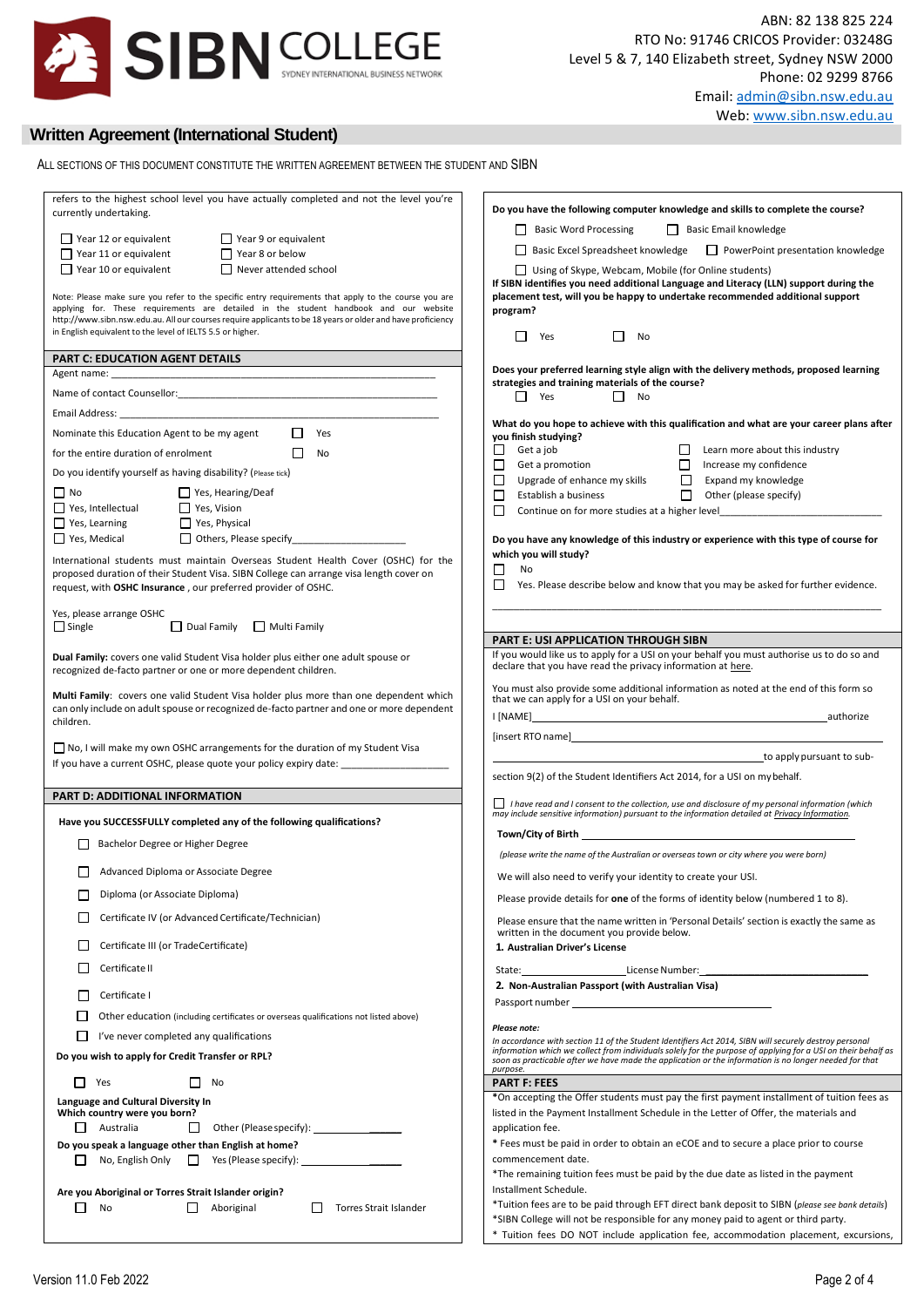

# **Written Agreement (International Student)**

|                                                                                                                                                                                                                                                                                                              | Lillaii. aulillill@sibil.iisw.cuu.au<br>Web: www.sibn.nsw.edu.au                                                                                                                                                                    |
|--------------------------------------------------------------------------------------------------------------------------------------------------------------------------------------------------------------------------------------------------------------------------------------------------------------|-------------------------------------------------------------------------------------------------------------------------------------------------------------------------------------------------------------------------------------|
| <b>Written Agreement (International Student)</b>                                                                                                                                                                                                                                                             |                                                                                                                                                                                                                                     |
| ALL SECTIONS OF THIS DOCUMENT CONSTITUTE THE WRITTEN AGREEMENT BETWEEN THE STUDENT AND SIBN                                                                                                                                                                                                                  |                                                                                                                                                                                                                                     |
| refers to the highest school level you have actually completed and not the level you're<br>currently undertaking.                                                                                                                                                                                            | Do you have the following computer knowledge and skills to complete the course?                                                                                                                                                     |
|                                                                                                                                                                                                                                                                                                              | Basic Word Processing<br>Basic Email knowledge                                                                                                                                                                                      |
| $\Box$ Year 9 or equivalent<br>Year 12 or equivalent                                                                                                                                                                                                                                                         | □ Basic Excel Spreadsheet knowledge □ PowerPoint presentation knowledge                                                                                                                                                             |
| $\Box$ Year 11 or equivalent<br>Year 8 or below<br>$\Box$ Year 10 or equivalent<br>$\Box$ Never attended school                                                                                                                                                                                              | Using of Skype, Webcam, Mobile (for Online students)                                                                                                                                                                                |
|                                                                                                                                                                                                                                                                                                              | If SIBN identifies you need additional Language and Literacy (LLN) support during the                                                                                                                                               |
| Note: Please make sure you refer to the specific entry requirements that apply to the course you are<br>applying for. These requirements are detailed in the student handbook and our website<br>http://www.sibn.nsw.edu.au. All our courses require applicants to be 18 years or older and have proficiency | placement test, will you be happy to undertake recommended additional support<br>program?                                                                                                                                           |
| in English equivalent to the level of IELTS 5.5 or higher.                                                                                                                                                                                                                                                   | $\perp$<br>Yes<br>$\perp$<br>No                                                                                                                                                                                                     |
| <b>PART C: EDUCATION AGENT DETAILS</b>                                                                                                                                                                                                                                                                       |                                                                                                                                                                                                                                     |
|                                                                                                                                                                                                                                                                                                              | Does your preferred learning style align with the delivery methods, proposed learning<br>strategies and training materials of the course?                                                                                           |
|                                                                                                                                                                                                                                                                                                              | $\Box$ Yes<br>$\Box$<br>No                                                                                                                                                                                                          |
|                                                                                                                                                                                                                                                                                                              |                                                                                                                                                                                                                                     |
| Nominate this Education Agent to be my agent<br>$\Box$ Yes                                                                                                                                                                                                                                                   | What do you hope to achieve with this qualification and what are your career plans after<br>you finish studying?                                                                                                                    |
| for the entire duration of enrolment<br>$\perp$<br>No                                                                                                                                                                                                                                                        | Get a job<br>Learn more about this industry<br>□<br>$\Box$                                                                                                                                                                          |
| Do you identify yourself as having disability? (Please tick)                                                                                                                                                                                                                                                 | □<br>Get a promotion<br>$\Box$<br>Increase my confidence                                                                                                                                                                            |
| $\Box$ No<br>$\Box$ Yes, Hearing/Deaf                                                                                                                                                                                                                                                                        | □<br>Upgrade of enhance my skills<br>Expand my knowledge<br>$\Box$                                                                                                                                                                  |
| □ Yes. Intellectual<br>Yes, Vision                                                                                                                                                                                                                                                                           | □<br>Establish a business<br>$\Box$<br>Other (please specify)<br>□                                                                                                                                                                  |
| $\Box$ Yes, Learning<br>Yes, Physical                                                                                                                                                                                                                                                                        |                                                                                                                                                                                                                                     |
| □ Yes, Medical                                                                                                                                                                                                                                                                                               | Do you have any knowledge of this industry or experience with this type of course for                                                                                                                                               |
| International students must maintain Overseas Student Health Cover (OSHC) for the                                                                                                                                                                                                                            | which you will study?                                                                                                                                                                                                               |
| proposed duration of their Student Visa. SIBN College can arrange visa length cover on<br>request, with OSHC Insurance, our preferred provider of OSHC.                                                                                                                                                      | $\Box$<br><b>No</b><br>□<br>Yes. Please describe below and know that you may be asked for further evidence.                                                                                                                         |
| Yes, please arrange OSHC<br>$\Box$ Single<br>Dual Family<br>Multi Family                                                                                                                                                                                                                                     |                                                                                                                                                                                                                                     |
| Dual Family: covers one valid Student Visa holder plus either one adult spouse or<br>recognized de-facto partner or one or more dependent children.                                                                                                                                                          | <b>PART E: USI APPLICATION THROUGH SIBN</b><br>If you would like us to apply for a USI on your behalf you must authorise us to do so and<br>declare that you have read the privacy information at here.                             |
| Multi Family: covers one valid Student Visa holder plus more than one dependent which<br>can only include on adult spouse or recognized de-facto partner and one or more dependent<br>children.                                                                                                              | You must also provide some additional information as noted at the end of this form so<br>that we can apply for a USI on your behalf.<br>I [NAME]<br>authorize                                                                       |
|                                                                                                                                                                                                                                                                                                              |                                                                                                                                                                                                                                     |
| $\Box$ No, I will make my own OSHC arrangements for the duration of my Student Visa                                                                                                                                                                                                                          | to apply pursuant to sub-                                                                                                                                                                                                           |
| If you have a current OSHC, please quote your policy expiry date:                                                                                                                                                                                                                                            | section 9(2) of the Student Identifiers Act 2014, for a USI on my behalf.                                                                                                                                                           |
| PART D: ADDITIONAL INFORMATION                                                                                                                                                                                                                                                                               |                                                                                                                                                                                                                                     |
| Have you SUCCESSFULLY completed any of the following qualifications?                                                                                                                                                                                                                                         | I have read and I consent to the collection, use and disclosure of my personal information (which<br>may include sensitive information) pursuant to the information detailed at Privacy Information.                                |
| Bachelor Degree or Higher Degree                                                                                                                                                                                                                                                                             |                                                                                                                                                                                                                                     |
|                                                                                                                                                                                                                                                                                                              | (please write the name of the Australian or overseas town or city where you were born)                                                                                                                                              |
| Advanced Diploma or Associate Degree                                                                                                                                                                                                                                                                         | We will also need to verify your identity to create your USI.                                                                                                                                                                       |
| Diploma (or Associate Diploma)                                                                                                                                                                                                                                                                               | Please provide details for one of the forms of identity below (numbered 1 to 8).                                                                                                                                                    |
| Certificate IV (or Advanced Certificate/Technician)                                                                                                                                                                                                                                                          | Please ensure that the name written in 'Personal Details' section is exactly the same as<br>written in the document you provide below.                                                                                              |
| Certificate III (or TradeCertificate)                                                                                                                                                                                                                                                                        | 1. Australian Driver's License                                                                                                                                                                                                      |
| Certificate II                                                                                                                                                                                                                                                                                               | State: License Number: License Number:                                                                                                                                                                                              |
|                                                                                                                                                                                                                                                                                                              | 2. Non-Australian Passport (with Australian Visa)                                                                                                                                                                                   |
| Certificate I                                                                                                                                                                                                                                                                                                |                                                                                                                                                                                                                                     |
| Other education (including certificates or overseas qualifications not listed above)                                                                                                                                                                                                                         | Please note:                                                                                                                                                                                                                        |
| I've never completed any qualifications                                                                                                                                                                                                                                                                      | In accordance with section 11 of the Student Identifiers Act 2014, SIBN will securely destroy personal                                                                                                                              |
| Do you wish to apply for Credit Transfer or RPL?                                                                                                                                                                                                                                                             | information which we collect from individuals solely for the purpose of applying for a USI on their behalf as<br>soon as practicable after we have made the application or the information is no longer needed for that<br>purpose. |
| □<br>Yes<br>No                                                                                                                                                                                                                                                                                               | <b>PART F: FEES</b>                                                                                                                                                                                                                 |
| Language and Cultural Diversity In                                                                                                                                                                                                                                                                           | *On accepting the Offer students must pay the first payment installment of tuition fees as                                                                                                                                          |
| Which country were you born?<br>Australia<br>$\Box$<br>$\perp$                                                                                                                                                                                                                                               | listed in the Payment Installment Schedule in the Letter of Offer, the materials and                                                                                                                                                |
| Do you speak a language other than English at home?                                                                                                                                                                                                                                                          | application fee.<br>* Fees must be paid in order to obtain an eCOE and to secure a place prior to course                                                                                                                            |
| $\Box$ Yes (Please specify): $\Box$<br>No, English Only                                                                                                                                                                                                                                                      | commencement date.                                                                                                                                                                                                                  |
|                                                                                                                                                                                                                                                                                                              | *The remaining tuition fees must be paid by the due date as listed in the payment                                                                                                                                                   |
| Are you Aboriginal or Torres Strait Islander origin?                                                                                                                                                                                                                                                         | Installment Schedule.                                                                                                                                                                                                               |

**Are you Aboriginal or Torres Strait Islander origin?**

No Aboriginal Torres Strait Islander

\*Tuition fees are to be paid through EFT direct bank deposit to SIBN (*please see bank details*) \*SIBN College will not be responsible for any money paid to agent or third party. \* Tuition fees DO NOT include application fee, accommodation placement, excursions,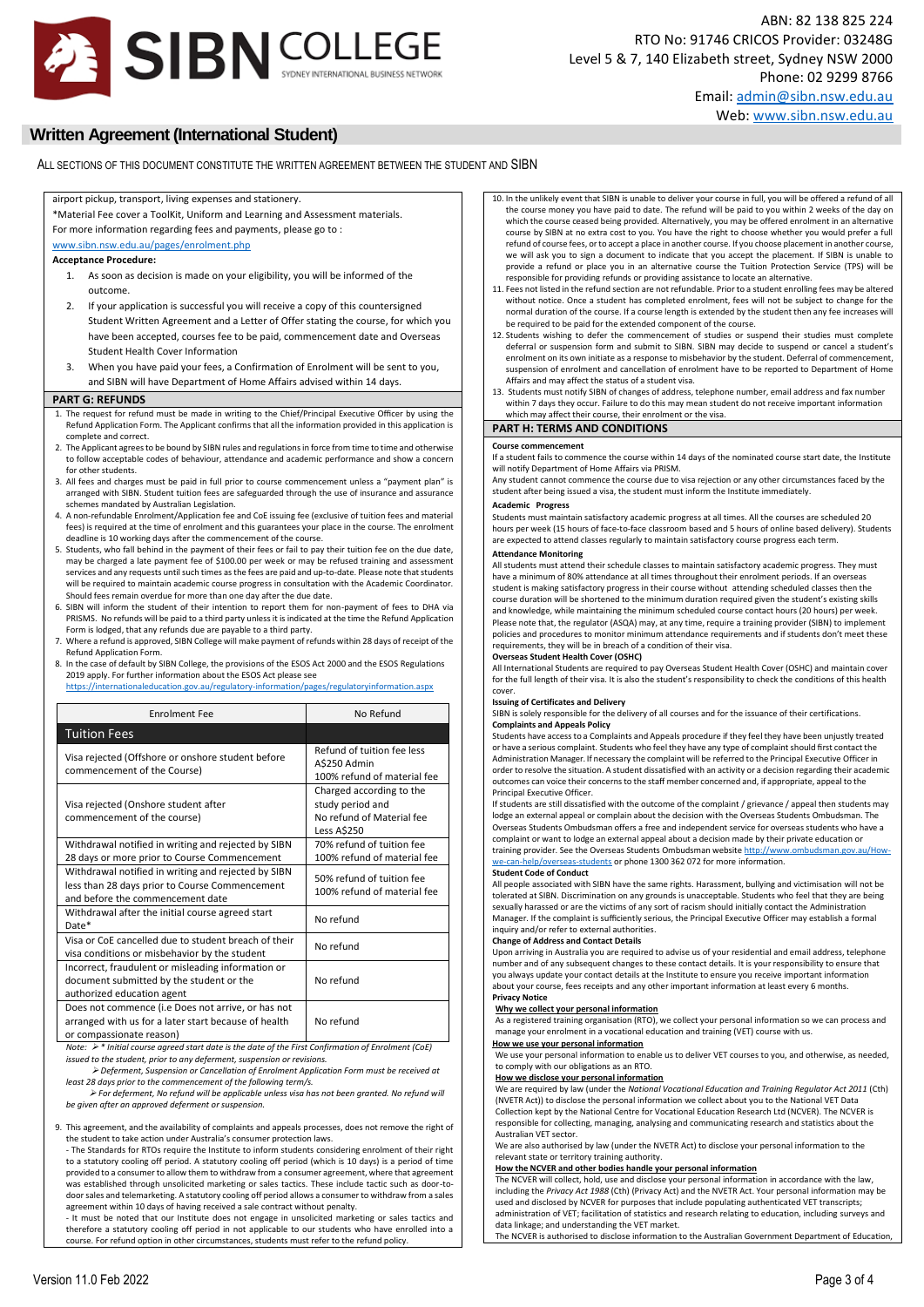

Web[: www.sibn.nsw.edu.au](http://www.sibn.nsw.edu.au/)

# **Written Agreement (International Student)**

ALL SECTIONS OF THIS DOCUMENT CONSTITUTE THE WRITTEN AGREEMENT BETWEEN THE STUDENT AND SIBN

## airport pickup, transport, living expenses and stationery.

\*Material Fee cover a ToolKit, Uniform and Learning and Assessment materials.

For more information regarding fees and payments, please go to : [www.sibn.nsw.edu.au/pages/enrolment.php](http://www.sibn.nsw.edu.au/pages/enrolment.php)

## **Acceptance Procedure:**

- 1. As soon as decision is made on your eligibility, you will be informed of the outcome.
- 2. If your application is successful you will receive a copy of this countersigned Student Written Agreement and a Letter of Offer stating the course, for which you have been accepted, courses fee to be paid, commencement date and Overseas Student Health Cover Information
- 3. When you have paid your fees, a Confirmation of Enrolment will be sent to you, and SIBN will have Department of Home Affairs advised within 14 days.

## **PART G: REFUNDS**

- 1. The request for refund must be made in writing to the Chief/Principal Executive Officer by using the Refund Application Form. The Applicant confirms that all the information provided in this application is complete and correct.
- 2. The Applicant agrees to be bound by SIBN rules and regulations in force from time to time and otherwise to follow acceptable codes of behaviour, attendance and academic performance and show a concern for other students.
- 3. All fees and charges must be paid in full prior to course commencement unless a "payment plan" is arranged with SIBN. Student tuition fees are safeguarded through the use of insurance and assurance schemes mandated by Australian Legislation.
- 4. A non-refundable Enrolment/Application fee and CoE issuing fee (exclusive of tuition fees and material fees) is required at the time of enrolment and this guarantees your place in the course. The enrolment deadline is 10 working days after the commencement of the course.
- 5. Students, who fall behind in the payment of their fees or fail to pay their tuition fee on the due date, may be charged a late payment fee of \$100.00 per week or may be refused training and assessme services and any requests until such times as the fees are paid and up-to-date. Please note that students will be required to maintain academic course progress in consultation with the Academic Coordinator. Should fees remain overdue for more than one day after the due date.
- 6. SIBN will inform the student of their intention to report them for non-payment of fees to DHA via PRISMS. No refunds will be paid to a third party unless it is indicated at the time the Refund Application
- Form is lodged, that any refunds due are payable to a third party. 7. Where a refund is approved, SIBN College will make payment of refunds within 28 days of receipt of the Refund Application Form.
- 8. In the case of default by SIBN College, the provisions of the ESOS Act 2000 and the ESOS Regulations 2019 apply. For further information about the ESOS Act please see

<https://internationaleducation.gov.au/regulatory-information/pages/regulatoryinformation.aspx>

| <b>Enrolment Fee</b>                                                                                                                      | No Refund                                                                                |
|-------------------------------------------------------------------------------------------------------------------------------------------|------------------------------------------------------------------------------------------|
| <b>Tuition Fees</b>                                                                                                                       |                                                                                          |
| Visa rejected (Offshore or onshore student before<br>commencement of the Course)                                                          | Refund of tuition fee less<br>A\$250 Admin<br>100% refund of material fee                |
| Visa rejected (Onshore student after<br>commencement of the course)                                                                       | Charged according to the<br>study period and<br>No refund of Material fee<br>Less A\$250 |
| Withdrawal notified in writing and rejected by SIBN<br>28 days or more prior to Course Commencement                                       | 70% refund of tuition fee<br>100% refund of material fee                                 |
| Withdrawal notified in writing and rejected by SIBN<br>less than 28 days prior to Course Commencement<br>and before the commencement date | 50% refund of tuition fee<br>100% refund of material fee                                 |
| Withdrawal after the initial course agreed start<br>Date*                                                                                 | No refund                                                                                |
| Visa or CoE cancelled due to student breach of their<br>visa conditions or misbehavior by the student                                     | No refund                                                                                |
| Incorrect, fraudulent or misleading information or<br>document submitted by the student or the<br>authorized education agent              | No refund                                                                                |
| Does not commence (i.e Does not arrive, or has not<br>arranged with us for a later start because of health<br>or compassionate reason)    | No refund                                                                                |

*Note: \* Initial course agreed start date is the date of the First Confirmation of Enrolment (CoE) issued to the student, prior to any deferment, suspension or revisions.*

 *Deferment, Suspension or Cancellation of Enrolment Application Form must be received at least 28 days prior to the commencement of the following term/s.*

 *For deferment, No refund will be applicable unless visa has not been granted. No refund will be given after an approved deferment or suspension.* 

9. This agreement, and the availability of complaints and appeals processes, does not remove the right of the student to take action under Australia's consumer protection laws.

- The Standards for RTOs require the Institute to inform students considering enrolment of their right to a statutory cooling off period. A statutory cooling off period (which is 10 days) is a period of time provided to a consumer to allow them to withdraw from a consumer agreement, where that agreement was established through unsolicited marketing or sales tactics. These include tactic such as door-todoor sales and telemarketing. A statutory cooling off period allows a consumer to withdraw from a sales<br>agreement within 10 days of having received a sale contract without penalty.

It must be noted that our Institute does not engage in unsolicited marketing or sales tactics and therefore a statutory cooling off period in not applicable to our students who have enrolled into a course. For refund option in other circumstances, students must refer to the refund policy.

- 10. In the unlikely event that SIBN is unable to deliver your course in full, you will be offered a refund of all the course money you have paid to date. The refund will be paid to you within 2 weeks of the day on which the course ceased being provided. Alternatively, you may be offered enrolment in an alternative course by SIBN at no extra cost to you. You have the right to choose whether you would prefer a full refund of course fees, or to accept a place in another course. If you choose placement in another course, we will ask you to sign a document to indicate that you accept the placement. If SIBN is unable to provide a refund or place you in an alternative course the Tuition Protection Service (TPS) will be responsible for providing refunds or providing assistance to locate an alternative.
- 11. Fees not listed in the refund section are not refundable. Prior to a student enrolling fees may be altered without notice. Once a student has completed enrolment, fees will not be subject to change for the normal duration of the course. If a course length is extended by the student then any fee increases will be required to be paid for the extended component of the course.
- 12. Students wishing to defer the commencement of studies or suspend their studies must complete deferral or suspension form and submit to SIBN. SIBN may decide to suspend or cancel a student's enrolment on its own initiate as a response to misbehavior by the student. Deferral of commencement, suspension of enrolment and cancellation of enrolment have to be reported to Department of Home Affairs and may affect the status of a student visa.
- 13. Students must notify SIBN of changes of address, telephone number, email address and fax number within 7 days they occur. Failure to do this may mean student do not receive important information which may affect their course, their enrolment or the visa.

## **PART H: TERMS AND CONDITIONS**

#### **Course commencement**

If a student fails to commence the course within 14 days of the nominated course start date, the Institute will notify Department of Home Affairs via PRISM.

Any student cannot commence the course due to visa rejection or any other circumstances faced by the student after being issued a visa, the student must inform the Institute immediately.

#### **Academic Progress**

Students must maintain satisfactory academic progress at all times. All the courses are scheduled 20 hours per week (15 hours of face-to-face classroom based and 5 hours of online based delivery). Students are expected to attend classes regularly to maintain satisfactory course progress each term.

# **Attendance Monitoring**

All students must attend their schedule classes to maintain satisfactory academic progress. They must have a minimum of 80% attendance at all times throughout their enrolment periods. If an overseas student is making satisfactory progress in their course without attending scheduled classes then the course duration will be shortened to the minimum duration required given the student's existing skills and knowledge, while maintaining the minimum scheduled course contact hours (20 hours) per week. Please note that, the regulator (ASQA) may, at any time, require a training provider (SIBN) to implement policies and procedures to monitor minimum attendance requirements and if students don't meet these requirements, they will be in breach of a condition of their visa.

# **Overseas Student Health Cover (OSHC)**

All International Students are required to pay Overseas Student Health Cover (OSHC) and maintain cover for the full length of their visa. It is also the student's responsibility to check the conditions of this health cover.

#### **Issuing of Certificates and Delivery**

SIBN is solely responsible for the delivery of all courses and for the issuance of their certifications. **Complaints and Appeals Policy**

Students have accessto a Complaints and Appeals procedure if they feel they have been unjustly treated or have a serious complaint. Students who feel they have any type of complaint should first contact the Administration Manager. If necessary the complaint will be referred to the Principal Executive Officer in order to resolve the situation. A student dissatisfied with an activity or a decision regarding their academic outcomes can voice their concernsto the staff member concerned and, if appropriate, appeal to the Principal Executive Officer.

If students are still dissatisfied with the outcome of the complaint / grievance / appeal then students may lodge an external appeal or complain about the decision with the Overseas Students Ombudsman. The Overseas Students Ombudsman offers a free and independent service for overseas students who have a complaint or want to lodge an external appeal about a decision made by their private education or training provider. See the Overseas Students Ombudsman websit[e http://www.ombudsman.gov.au/How](http://www.ombudsman.gov.au/How-we-can-help/overseas-students)seas-students or phone 1300 362 072 for more information

#### **Student Code of Conduct**

All people associated with SIBN have the same rights. Harassment, bullying and victimisation will not be tolerated at SIBN. Discrimination on any grounds is unacceptable. Students who feel that they are being sexually harassed or are the victims of any sort of racism should initially contact the Administration Manager. If the complaint is sufficiently serious, the Principal Executive Officer may establish a formal inquiry and/or refer to external authorities.

## **Change of Address and Contact Details**

Upon arriving in Australia you are required to advise us of your residential and email address, telephone number and of any subsequent changes to these contact details. It is your responsibility to ensure that you always update your contact details at the Institute to ensure you receive important information about your course, fees receipts and any other important information at least every 6 months. **Privacy Notice**

## **Why we collect your personal information**

As a registered training organisation (RTO), we collect your personal information so we can process and manage your enrolment in a vocational education and training (VET) course with us.

## **How we use your personal information**

We use your personal information to enable us to deliver VET courses to you, and otherwise, as needed, to comply with our obligations as an RTO.

# **How we disclose your personal information**

We are required by law (under the *National Vocational Education and Training Regulator Act 2011* (Cth) (NVETR Act)) to disclose the personal information we collect about you to the National VET Data Collection kept by the National Centre for Vocational Education Research Ltd (NCVER). The NCVER is responsible for collecting, managing, analysing and communicating research and statistics about the Australian VET sector.

We are also authorised by law (under the NVETR Act) to disclose your personal information to the relevant state or territory training authority.

#### **How the NCVER and other bodies handle your personal information**

The NCVER will collect, hold, use and disclose your personal information in accordance with the law, including the *Privacy Act 1988* (Cth) (Privacy Act) and the NVETR Act. Your personal information may be used and disclosed by NCVER for purposes that include populating authenticated VET transcripts; administration of VET; facilitation of statistics and research relating to education, including surveys and data linkage; and understanding the VET market.

The NCVER is authorised to disclose information to the Australian Government Department of Education,